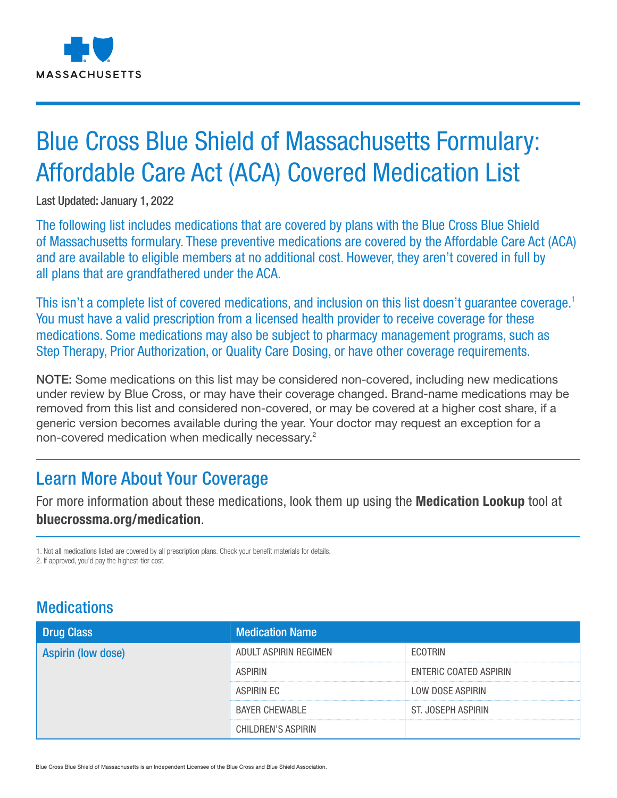

# Blue Cross Blue Shield of Massachusetts Formulary: Affordable Care Act (ACA) Covered Medication List

Last Updated: January 1, 2022

The following list includes medications that are covered by plans with the Blue Cross Blue Shield of Massachusetts formulary. These preventive medications are covered by the Affordable Care Act (ACA) and are available to eligible members at no additional cost. However, they aren't covered in full by all plans that are grandfathered under the ACA.

This isn't a complete list of covered medications, and inclusion on this list doesn't guarantee coverage.<sup>1</sup> You must have a valid prescription from a licensed health provider to receive coverage for these medications. Some medications may also be subject to pharmacy management programs, such as Step Therapy, Prior Authorization, or Quality Care Dosing, or have other coverage requirements.

NOTE: Some medications on this list may be considered non-covered, including new medications under review by Blue Cross, or may have their coverage changed. Brand-name medications may be removed from this list and considered non-covered, or may be covered at a higher cost share, if a generic version becomes available during the year. Your doctor may request an exception for a non-covered medication when medically necessary.2

## Learn More About Your Coverage

For more information about these medications, look them up using the **Medication Lookup** tool at bluecrossma.org/medication.

1. Not all medications listed are covered by all prescription plans. Check your benefit materials for details. 2. If approved, you'd pay the highest-tier cost.

## **Medications**

| Drug Class                | <b>Medication Name</b>    |                        |
|---------------------------|---------------------------|------------------------|
| <b>Aspirin (low dose)</b> | ADULT ASPIRIN REGIMEN     | ECOTRIN                |
|                           | <b>ASPIRIN</b>            | ENTERIC COATED ASPIRIN |
|                           | <b>ASPIRIN EC</b>         | LOW DOSE ASPIRIN       |
|                           | <b>BAYER CHEWABLE</b>     | ST. JOSEPH ASPIRIN     |
|                           | <b>CHILDREN'S ASPIRIN</b> |                        |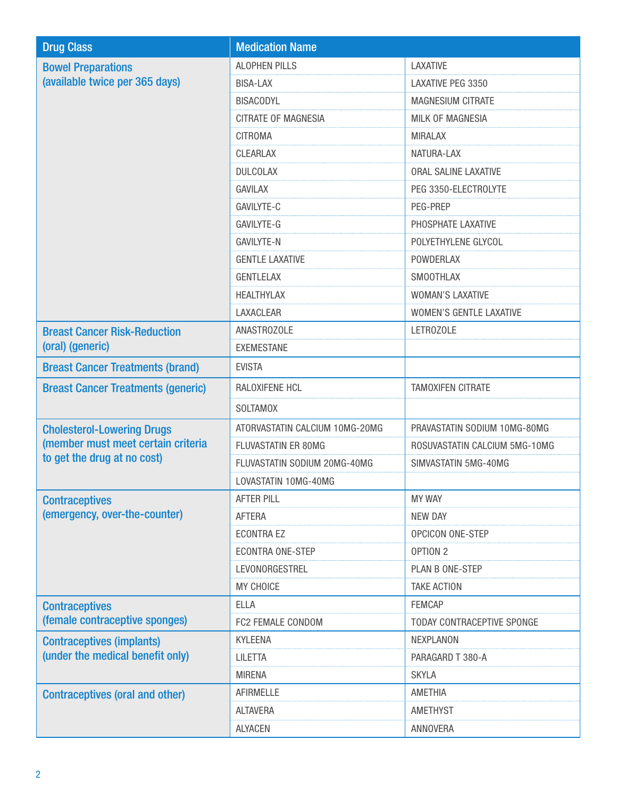| <b>Drug Class</b>                                                    | <b>Medication Name</b>         |                                |
|----------------------------------------------------------------------|--------------------------------|--------------------------------|
| <b>Bowel Preparations</b><br>(available twice per 365 days)          | <b>ALOPHEN PILLS</b>           | LAXATIVE                       |
|                                                                      | <b>BISA-LAX</b>                | LAXATIVE PEG 3350              |
|                                                                      | <b>BISACODYL</b>               | <b>MAGNESIUM CITRATE</b>       |
|                                                                      | <b>CITRATE OF MAGNESIA</b>     | <b>MILK OF MAGNESIA</b>        |
|                                                                      | <b>CITROMA</b>                 | <b>MIRALAX</b>                 |
|                                                                      | CLEARLAX                       | NATURA-LAX                     |
|                                                                      | <b>DULCOLAX</b>                | <b>ORAL SALINE LAXATIVE</b>    |
|                                                                      | <b>GAVILAX</b>                 | PEG 3350-ELECTROLYTE           |
|                                                                      | <b>GAVILYTE-C</b>              | PEG-PREP                       |
|                                                                      | GAVILYTE-G                     | PHOSPHATE LAXATIVE             |
|                                                                      | <b>GAVILYTE-N</b>              | POLYETHYLENE GLYCOL            |
|                                                                      | <b>GENTLE LAXATIVE</b>         | POWDERLAX                      |
|                                                                      | <b>GENTLELAX</b>               | <b>SMOOTHLAX</b>               |
|                                                                      | <b>HEALTHYLAX</b>              | <b>WOMAN'S LAXATIVE</b>        |
|                                                                      | LAXACLEAR                      | <b>WOMEN'S GENTLE LAXATIVE</b> |
| <b>Breast Cancer Risk-Reduction</b>                                  | ANASTROZOLE                    | LETROZOLE                      |
| (oral) (generic)                                                     | <b>EXEMESTANE</b>              |                                |
| <b>Breast Cancer Treatments (brand)</b>                              | <b>EVISTA</b>                  |                                |
| <b>Breast Cancer Treatments (generic)</b>                            | RALOXIFENE HCL                 | <b>TAMOXIFEN CITRATE</b>       |
|                                                                      | <b>SOLTAMOX</b>                |                                |
| <b>Cholesterol-Lowering Drugs</b>                                    | ATORVASTATIN CALCIUM 10MG-20MG | PRAVASTATIN SODIUM 10MG-80MG   |
| (member must meet certain criteria                                   | FLUVASTATIN ER 80MG            | ROSUVASTATIN CALCIUM 5MG-10MG  |
| to get the drug at no cost)                                          | FLUVASTATIN SODIUM 20MG-40MG   | SIMVASTATIN 5MG-40MG           |
|                                                                      | LOVASTATIN 10MG-40MG           |                                |
| <b>Contraceptives</b>                                                | <b>AFTER PILL</b>              | <b>MY WAY</b>                  |
| (emergency, over-the-counter)                                        | <b>AFTERA</b>                  | <b>NEW DAY</b>                 |
|                                                                      | <b>ECONTRA EZ</b>              | OPCICON ONE-STEP               |
|                                                                      | <b>ECONTRA ONE-STEP</b>        | OPTION <sub>2</sub>            |
|                                                                      | LEVONORGESTREL                 | PLAN B ONE-STEP                |
|                                                                      | MY CHOICE                      | <b>TAKE ACTION</b>             |
| <b>Contraceptives</b><br>(female contraceptive sponges)              | <b>ELLA</b>                    | <b>FEMCAP</b>                  |
|                                                                      | FC2 FEMALE CONDOM              | TODAY CONTRACEPTIVE SPONGE     |
| <b>Contraceptives (implants)</b><br>(under the medical benefit only) | <b>KYLEENA</b>                 | <b>NEXPLANON</b>               |
|                                                                      | <b>LILETTA</b>                 | PARAGARD T 380-A               |
|                                                                      | <b>MIRENA</b>                  | <b>SKYLA</b>                   |
| Contraceptives (oral and other)                                      | AFIRMELLE                      | <b>AMETHIA</b>                 |
|                                                                      | <b>ALTAVERA</b>                | AMETHYST                       |
|                                                                      | <b>ALYACEN</b>                 | ANNOVERA                       |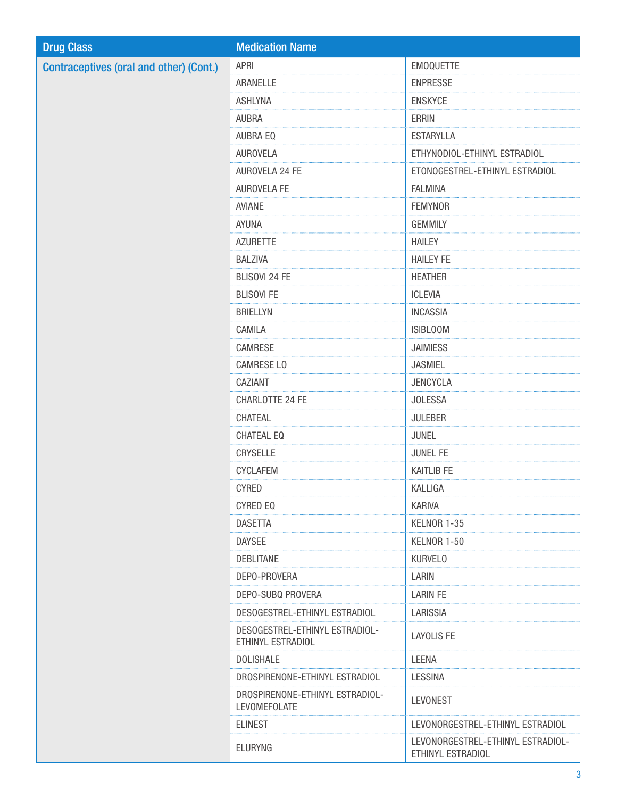| <b>Drug Class</b>                              | <b>Medication Name</b>                              |                                                        |
|------------------------------------------------|-----------------------------------------------------|--------------------------------------------------------|
| <b>Contraceptives (oral and other) (Cont.)</b> | APRI                                                | <b>EMOQUETTE</b>                                       |
|                                                | ARANELLE                                            | <b>ENPRESSE</b>                                        |
|                                                | <b>ASHLYNA</b>                                      | <b>ENSKYCE</b>                                         |
|                                                | <b>AUBRA</b>                                        | <b>ERRIN</b>                                           |
|                                                | AUBRA EQ                                            | <b>ESTARYLLA</b>                                       |
|                                                | <b>AUROVELA</b>                                     | ETHYNODIOL-ETHINYL ESTRADIOL                           |
|                                                | AUROVELA 24 FE                                      | ETONOGESTREL-ETHINYL ESTRADIOL                         |
|                                                | AUROVELA FE                                         | <b>FALMINA</b>                                         |
|                                                | AVIANE                                              | <b>FEMYNOR</b>                                         |
|                                                | AYUNA                                               | <b>GEMMILY</b>                                         |
|                                                | <b>AZURETTE</b>                                     | <b>HAILEY</b>                                          |
|                                                | <b>BALZIVA</b>                                      | <b>HAILEY FE</b>                                       |
|                                                | BLISOVI 24 FE                                       | <b>HEATHER</b>                                         |
|                                                | <b>BLISOVI FE</b>                                   | <b>ICLEVIA</b>                                         |
|                                                | <b>BRIELLYN</b>                                     | <b>INCASSIA</b>                                        |
|                                                | CAMILA                                              | <b>ISIBLOOM</b>                                        |
|                                                | CAMRESE                                             | <b>JAIMIESS</b>                                        |
|                                                | <b>CAMRESE LO</b>                                   | <b>JASMIEL</b>                                         |
|                                                | CAZIANT                                             | <b>JENCYCLA</b>                                        |
|                                                | CHARLOTTE 24 FE                                     | <b>JOLESSA</b>                                         |
|                                                | CHATEAL                                             | <b>JULEBER</b>                                         |
|                                                | CHATEAL EQ                                          | <b>JUNEL</b>                                           |
|                                                | CRYSELLE                                            | <b>JUNEL FE</b>                                        |
|                                                | <b>CYCLAFEM</b>                                     | <b>KAITLIB FE</b>                                      |
|                                                | CYRED                                               | KALLIGA                                                |
|                                                | CYRED EQ                                            | <b>KARIVA</b>                                          |
|                                                | <b>DASETTA</b>                                      | KELNOR 1-35                                            |
|                                                | <b>DAYSEE</b>                                       | KELNOR 1-50                                            |
|                                                | <b>DEBLITANE</b>                                    | <b>KURVELO</b>                                         |
|                                                | DEPO-PROVERA                                        | LARIN                                                  |
|                                                | DEPO-SUBQ PROVERA                                   | <b>LARIN FE</b>                                        |
|                                                | DESOGESTREL-ETHINYL ESTRADIOL                       | LARISSIA                                               |
|                                                | DESOGESTREL-ETHINYL ESTRADIOL-<br>ETHINYL ESTRADIOL | LAYOLIS FE                                             |
|                                                | <b>DOLISHALE</b>                                    | LEENA                                                  |
|                                                | DROSPIRENONE-ETHINYL ESTRADIOL                      | <b>LESSINA</b>                                         |
|                                                | DROSPIRENONE-ETHINYL ESTRADIOL-<br>LEVOMEFOLATE     | LEVONEST                                               |
|                                                | <b>ELINEST</b>                                      | LEVONORGESTREL-ETHINYL ESTRADIOL                       |
|                                                | <b>ELURYNG</b>                                      | LEVONORGESTREL-ETHINYL ESTRADIOL-<br>ETHINYL ESTRADIOL |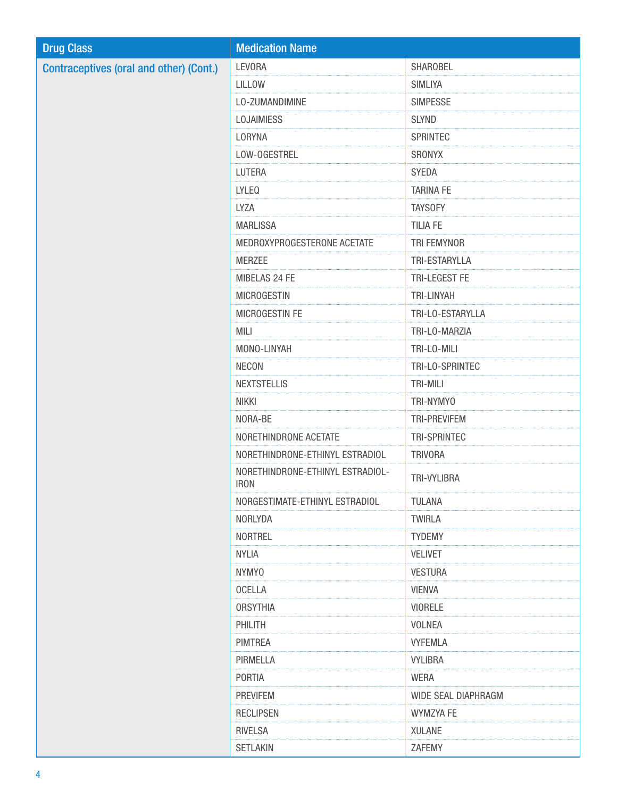| <b>Drug Class</b>                              | <b>Medication Name</b>                          |                     |
|------------------------------------------------|-------------------------------------------------|---------------------|
| <b>Contraceptives (oral and other) (Cont.)</b> | LEVORA                                          | SHAROBEL            |
|                                                | LILLOW                                          | <b>SIMLIYA</b>      |
|                                                | LO-ZUMANDIMINE                                  | <b>SIMPESSE</b>     |
|                                                | <b>LOJAIMIESS</b>                               | <b>SLYND</b>        |
|                                                | LORYNA                                          | SPRINTEC            |
|                                                | LOW-OGESTREL                                    | SRONYX              |
|                                                | LUTERA                                          | SYEDA               |
|                                                | <b>LYLEQ</b>                                    | <b>TARINA FE</b>    |
|                                                | LYZA                                            | <b>TAYSOFY</b>      |
|                                                | <b>MARLISSA</b>                                 | <b>TILIA FE</b>     |
|                                                | MEDROXYPROGESTERONE ACETATE                     | TRI FEMYNOR         |
|                                                | <b>MERZEE</b>                                   | TRI-ESTARYLLA       |
|                                                | MIBELAS 24 FE                                   | TRI-LEGEST FE       |
|                                                | <b>MICROGESTIN</b>                              | TRI-LINYAH          |
|                                                | MICROGESTIN FE                                  | TRI-LO-ESTARYLLA    |
|                                                | MILI                                            | TRI-LO-MARZIA       |
|                                                | MONO-LINYAH                                     | TRI-LO-MILI         |
|                                                | <b>NECON</b>                                    | TRI-LO-SPRINTEC     |
|                                                | <b>NEXTSTELLIS</b>                              | TRI-MILI            |
|                                                | <b>NIKKI</b>                                    | TRI-NYMYO           |
|                                                | NORA-BE                                         | TRI-PREVIFEM        |
|                                                | NORETHINDRONE ACETATE                           | TRI-SPRINTEC        |
|                                                | NORETHINDRONE-ETHINYL ESTRADIOL                 | <b>TRIVORA</b>      |
|                                                | NORETHINDRONE-ETHINYL ESTRADIOL-<br><b>IRON</b> | TRI-VYLIBRA         |
|                                                | NORGESTIMATE-ETHINYL ESTRADIOL                  | <b>TULANA</b>       |
|                                                | NORLYDA                                         | <b>TWIRLA</b>       |
|                                                | <b>NORTREL</b>                                  | <b>TYDEMY</b>       |
|                                                | <b>NYLIA</b>                                    | <b>VELIVET</b>      |
|                                                | <b>NYMYO</b>                                    | <b>VESTURA</b>      |
|                                                | <b>OCELLA</b>                                   | <b>VIENVA</b>       |
|                                                | <b>ORSYTHIA</b>                                 | <b>VIORELE</b>      |
|                                                | PHILITH                                         | <b>VOLNEA</b>       |
|                                                | PIMTREA                                         | <b>VYFEMLA</b>      |
|                                                | PIRMELLA                                        | <b>VYLIBRA</b>      |
|                                                | PORTIA                                          | WERA                |
|                                                | <b>PREVIFEM</b>                                 | WIDE SEAL DIAPHRAGM |
|                                                | <b>RECLIPSEN</b>                                | WYMZYA FE           |
|                                                | <b>RIVELSA</b>                                  | <b>XULANE</b>       |
|                                                | <b>SETLAKIN</b>                                 | ZAFEMY              |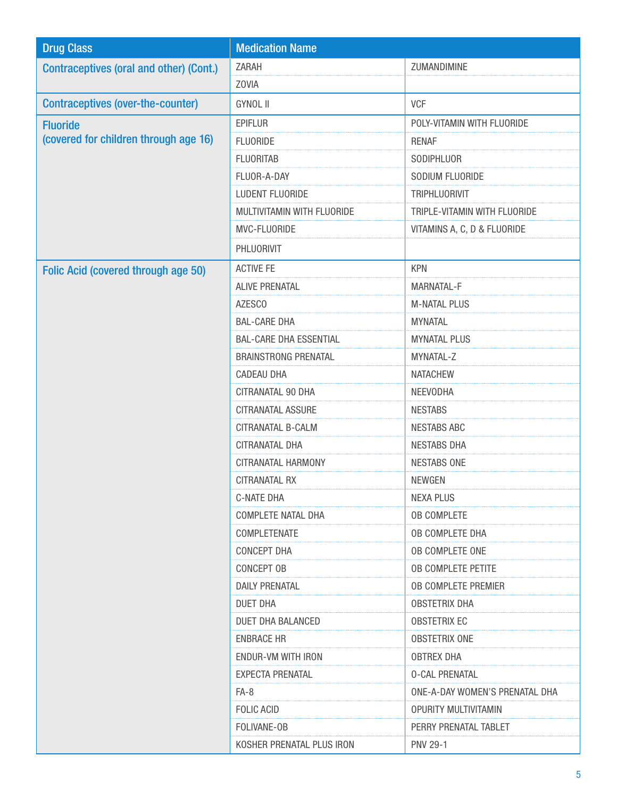| <b>Drug Class</b>                              | <b>Medication Name</b>        |                                |
|------------------------------------------------|-------------------------------|--------------------------------|
| <b>Contraceptives (oral and other) (Cont.)</b> | ZARAH                         | ZUMANDIMINE                    |
|                                                | <b>ZOVIA</b>                  |                                |
| <b>Contraceptives (over-the-counter)</b>       | <b>GYNOL II</b>               | <b>VCF</b>                     |
| <b>Fluoride</b>                                | <b>EPIFLUR</b>                | POLY-VITAMIN WITH FLUORIDE     |
| (covered for children through age 16)          | <b>FLUORIDE</b>               | <b>RENAF</b>                   |
|                                                | <b>FLUORITAB</b>              | SODIPHLUOR                     |
|                                                | FLUOR-A-DAY                   | SODIUM FLUORIDE                |
|                                                | LUDENT FLUORIDE               | <b>TRIPHLUORIVIT</b>           |
|                                                | MULTIVITAMIN WITH FLUORIDE    | TRIPLE-VITAMIN WITH FLUORIDE   |
|                                                | MVC-FLUORIDE                  | VITAMINS A, C, D & FLUORIDE    |
|                                                | PHLUORIVIT                    |                                |
| Folic Acid (covered through age 50)            | <b>ACTIVE FE</b>              | <b>KPN</b>                     |
|                                                | <b>ALIVE PRENATAL</b>         | MARNATAL-F                     |
|                                                | AZESCO                        | <b>M-NATAL PLUS</b>            |
|                                                | <b>BAL-CARE DHA</b>           | <b>MYNATAL</b>                 |
|                                                | <b>BAL-CARE DHA ESSENTIAL</b> | <b>MYNATAL PLUS</b>            |
|                                                | <b>BRAINSTRONG PRENATAL</b>   | MYNATAL-Z                      |
|                                                | <b>CADEAU DHA</b>             | <b>NATACHEW</b>                |
|                                                | CITRANATAL 90 DHA             | NEEVODHA                       |
|                                                | <b>CITRANATAL ASSURE</b>      | <b>NESTABS</b>                 |
|                                                | CITRANATAL B-CALM             | <b>NESTABS ABC</b>             |
|                                                | CITRANATAL DHA                | <b>NESTABS DHA</b>             |
|                                                | CITRANATAL HARMONY            | <b>NESTABS ONE</b>             |
|                                                | <b>CITRANATAL RX</b>          | <b>NEWGEN</b>                  |
|                                                | C-NATE DHA                    | <b>NEXA PLUS</b>               |
|                                                | COMPLETE NATAL DHA            | <b>OB COMPLETE</b>             |
|                                                | COMPLETENATE                  | OB COMPLETE DHA                |
|                                                | CONCEPT DHA                   | OB COMPLETE ONE                |
|                                                | CONCEPT OB                    | OB COMPLETE PETITE             |
|                                                | <b>DAILY PRENATAL</b>         | OB COMPLETE PREMIER            |
|                                                | <b>DUET DHA</b>               | <b>OBSTETRIX DHA</b>           |
|                                                | DUET DHA BALANCED             | <b>OBSTETRIX EC</b>            |
|                                                | ENBRACE HR                    | <b>OBSTETRIX ONE</b>           |
|                                                | ENDUR-VM WITH IRON            | <b>OBTREX DHA</b>              |
|                                                | EXPECTA PRENATAL              | <b>0-CAL PRENATAL</b>          |
|                                                | FA-8                          | ONE-A-DAY WOMEN'S PRENATAL DHA |
|                                                | <b>FOLIC ACID</b>             | OPURITY MULTIVITAMIN           |
|                                                | FOLIVANE-OB                   | PERRY PRENATAL TABLET          |
|                                                | KOSHER PRENATAL PLUS IRON     | <b>PNV 29-1</b>                |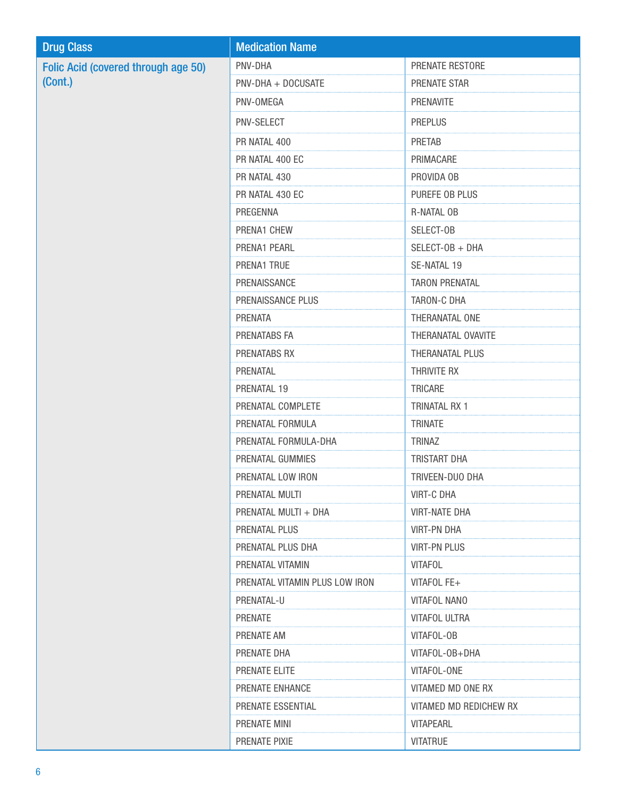| <b>Drug Class</b>                   | <b>Medication Name</b>         |                        |
|-------------------------------------|--------------------------------|------------------------|
| Folic Acid (covered through age 50) | PNV-DHA                        | PRENATE RESTORE        |
| (Cont.)                             | PNV-DHA + DOCUSATE             | PRENATE STAR           |
|                                     | PNV-OMEGA                      | PRENAVITE              |
|                                     | PNV-SELECT                     | <b>PREPLUS</b>         |
|                                     | PR NATAL 400                   | PRETAB                 |
|                                     | PR NATAL 400 EC                | PRIMACARE              |
|                                     | PR NATAL 430                   | PROVIDA OB             |
|                                     | PR NATAL 430 EC                | PUREFE OB PLUS         |
|                                     | PREGENNA                       | <b>R-NATAL OB</b>      |
|                                     | PRENA1 CHEW                    | SELECT-OB              |
|                                     | PRENA1 PEARL                   | SELECT-OB + DHA        |
|                                     | PRENA1 TRUE                    | SE-NATAL 19            |
|                                     | PRENAISSANCE                   | <b>TARON PRENATAL</b>  |
|                                     | PRENAISSANCE PLUS              | TARON-C DHA            |
|                                     | PRENATA                        | THERANATAL ONE         |
|                                     | PRENATABS FA                   | THERANATAL OVAVITE     |
|                                     | PRENATABS RX                   | THERANATAL PLUS        |
|                                     | PRENATAL                       | THRIVITE RX            |
|                                     | PRENATAL 19                    | TRICARE                |
|                                     | PRENATAL COMPLETE              | TRINATAL RX 1          |
|                                     | PRENATAL FORMULA               | <b>TRINATE</b>         |
|                                     | PRENATAL FORMULA-DHA           | <b>TRINAZ</b>          |
|                                     | PRENATAL GUMMIES               | TRISTART DHA           |
|                                     | PRENATAL LOW IRON              | TRIVEEN-DUO DHA        |
|                                     | PRENATAL MULTI                 | <b>VIRT-C DHA</b>      |
|                                     | PRENATAL MULTI + DHA           | <b>VIRT-NATE DHA</b>   |
|                                     | PRENATAL PLUS                  | VIRT-PN DHA            |
|                                     | PRENATAL PLUS DHA              | <b>VIRT-PN PLUS</b>    |
|                                     | PRENATAL VITAMIN               | <b>VITAFOL</b>         |
|                                     | PRENATAL VITAMIN PLUS LOW IRON | VITAFOL FE+            |
|                                     | PRENATAL-U                     | VITAFOL NANO           |
|                                     | <b>PRENATE</b>                 | VITAFOL ULTRA          |
|                                     | PRENATE AM                     | VITAFOL-OB             |
|                                     | PRENATE DHA                    | VITAFOL-OB+DHA         |
|                                     | PRENATE ELITE                  | VITAFOL-ONE            |
|                                     | PRENATE ENHANCE                | VITAMED MD ONE RX      |
|                                     | PRENATE ESSENTIAL              | VITAMED MD REDICHEW RX |
|                                     | PRENATE MINI                   | <b>VITAPEARL</b>       |
|                                     | PRENATE PIXIE                  | <b>VITATRUE</b>        |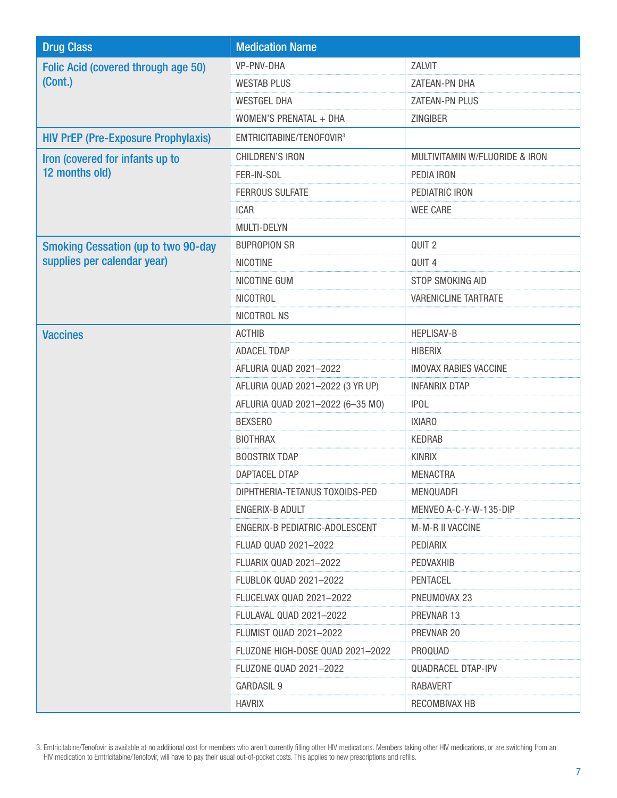| <b>Drug Class</b>                          | <b>Medication Name</b>           |                                |
|--------------------------------------------|----------------------------------|--------------------------------|
| Folic Acid (covered through age 50)        | VP-PNV-DHA                       | ZALVIT                         |
| (Cont.)                                    | <b>WESTAB PLUS</b>               | ZATEAN-PN DHA                  |
|                                            | <b>WESTGEL DHA</b>               | ZATEAN-PN PLUS                 |
|                                            | WOMEN'S PRENATAL + DHA           | ZINGIBER                       |
| <b>HIV PrEP (Pre-Exposure Prophylaxis)</b> | EMTRICITABINE/TENOFOVIR3         |                                |
| Iron (covered for infants up to            | CHILDREN'S IRON                  | MULTIVITAMIN W/FLUORIDE & IRON |
| 12 months old)                             | FER-IN-SOL                       | PEDIA IRON                     |
|                                            | FERROUS SULFATE                  | PEDIATRIC IRON                 |
|                                            | <b>ICAR</b>                      | <b>WEE CARE</b>                |
|                                            | MULTI-DELYN                      |                                |
| <b>Smoking Cessation (up to two 90-day</b> | <b>BUPROPION SR</b>              | QUIT <sub>2</sub>              |
| supplies per calendar year)                | <b>NICOTINE</b>                  | QUIT 4                         |
|                                            | NICOTINE GUM                     | STOP SMOKING AID               |
|                                            | <b>NICOTROL</b>                  | <b>VARENICLINE TARTRATE</b>    |
|                                            | NICOTROL NS                      |                                |
| <b>Vaccines</b>                            | <b>ACTHIB</b>                    | <b>HEPLISAV-B</b>              |
|                                            | ADACEL TDAP                      | <b>HIBERIX</b>                 |
|                                            | AFLURIA QUAD 2021-2022           | <b>IMOVAX RABIES VACCINE</b>   |
|                                            | AFLURIA QUAD 2021-2022 (3 YR UP) | <b>INFANRIX DTAP</b>           |
|                                            | AFLURIA QUAD 2021-2022 (6-35 MO) | <b>IPOL</b>                    |
|                                            | <b>BEXSERO</b>                   | <b>IXIARO</b>                  |
|                                            | <b>BIOTHRAX</b>                  | <b>KEDRAB</b>                  |
|                                            | <b>BOOSTRIX TDAP</b>             | <b>KINRIX</b>                  |
|                                            | DAPTACEL DTAP                    | <b>MENACTRA</b>                |
|                                            | DIPHTHERIA-TETANUS TOXOIDS-PED   | <b>MENQUADFI</b>               |
|                                            | ENGERIX-B ADULT                  | MENVEO A-C-Y-W-135-DIP         |
|                                            | ENGERIX-B PEDIATRIC-ADOLESCENT   | M-M-R II VACCINE               |
|                                            | FLUAD QUAD 2021-2022             | <b>PEDIARIX</b>                |
|                                            | FLUARIX QUAD 2021-2022           | PEDVAXHIB                      |
|                                            | FLUBLOK QUAD 2021-2022           | <b>PENTACEL</b>                |
|                                            | FLUCELVAX QUAD 2021-2022         | PNEUMOVAX 23                   |
|                                            | FLULAVAL QUAD 2021-2022          | PREVNAR 13                     |
|                                            | FLUMIST QUAD 2021-2022           | PREVNAR 20                     |
|                                            | FLUZONE HIGH-DOSE QUAD 2021-2022 | PROQUAD                        |
|                                            | FLUZONE QUAD 2021-2022           | <b>QUADRACEL DTAP-IPV</b>      |
|                                            | GARDASIL 9                       | <b>RABAVERT</b>                |
|                                            | <b>HAVRIX</b>                    | RECOMBIVAX HB                  |

3. Emtricitabine/Tenofovir is available at no additional cost for members who aren't currently filling other HIV medications. Members taking other HIV medications, or are switching from an HIV medication to Emtricitabine/Tenofovir, will have to pay their usual out-of-pocket costs. This applies to new prescriptions and refills.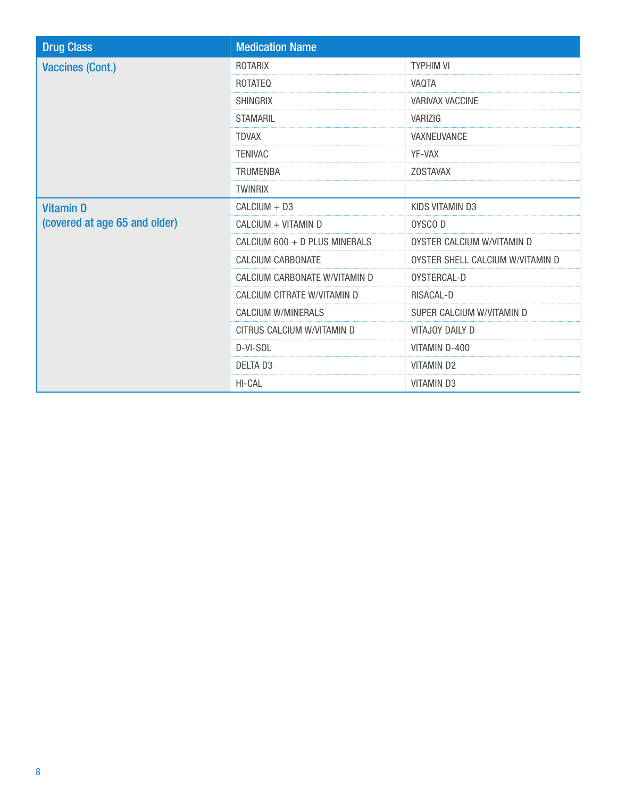| <b>Drug Class</b>                                 | <b>Medication Name</b>        |                                  |
|---------------------------------------------------|-------------------------------|----------------------------------|
| <b>Vaccines (Cont.)</b>                           | <b>ROTARIX</b>                | <b>TYPHIM VI</b>                 |
|                                                   | <b>ROTATEQ</b>                | VAQTA                            |
|                                                   | <b>SHINGRIX</b>               | <b>VARIVAX VACCINE</b>           |
|                                                   | <b>STAMARIL</b>               | VARIZIG                          |
|                                                   | <b>TDVAX</b>                  | <b>VAXNEUVANCE</b>               |
|                                                   | <b>TENIVAC</b>                | YF-VAX                           |
|                                                   | <b>TRUMENBA</b>               | <b>ZOSTAVAX</b>                  |
|                                                   | <b>TWINRIX</b>                |                                  |
| <b>Vitamin D</b><br>(covered at age 65 and older) | $CALCIUM + D3$                | KIDS VITAMIN D3                  |
|                                                   | CALCIUM + VITAMIN D           | OYSCO D                          |
|                                                   | CALCIUM 600 + D PLUS MINERALS | OYSTER CALCIUM W/VITAMIN D       |
|                                                   | <b>CALCIUM CARBONATE</b>      | OYSTER SHELL CALCIUM W/VITAMIN D |
|                                                   | CALCIUM CARBONATE W/VITAMIN D | OYSTERCAL-D                      |
|                                                   | CALCIUM CITRATE W/VITAMIN D   | RISACAL-D                        |
|                                                   | <b>CALCIUM W/MINERALS</b>     | SUPER CALCIUM W/VITAMIN D        |
|                                                   | CITRUS CALCIUM W/VITAMIN D    | VITAJOY DAILY D                  |
|                                                   | D-VI-SOL                      | VITAMIN D-400                    |
|                                                   | <b>DELTA D3</b>               | VITAMIN D2                       |
|                                                   | HI-CAL                        | <b>VITAMIN D3</b>                |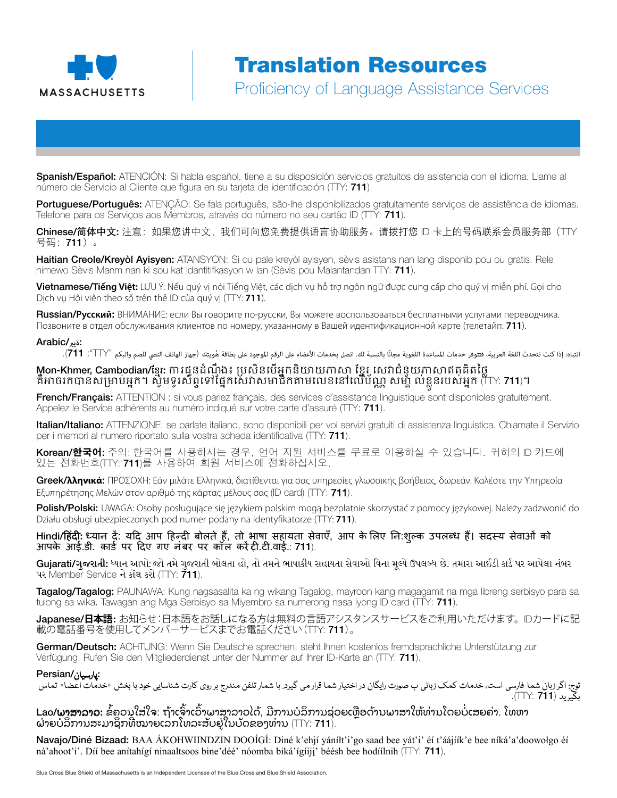

Spanish/Español: ATENCIÓN: Si habla español, tiene a su disposición servicios gratuitos de asistencia con el idioma. Llame al número de Servicio al Cliente que figura en su tarjeta de identificación (TTY: 711).

Portuguese/Português: ATENÇÃO: Se fala português, são-lhe disponibilizados gratuitamente serviços de assistência de idiomas. Telefone para os Serviços aos Membros, através do número no seu cartão ID (TTY: 711).

Chinese/简体中文:注意:如果您讲中文,我们可向您免费提供语言协助服务。请拨打您 ID 卡上的号码联系会员服务部 (TTY 号码:711)。

Haitian Creole/Kreyòl Ayisyen: ATANSYON: Si ou pale kreyòl ayisyen, sèvis asistans nan lang disponib pou ou gratis. Rele nimewo Sèvis Manm nan ki sou kat Idantitifkasyon w lan (Sèvis pou Malantandan TTY: 711).

Vietnamese/**Tiếng Việt:** LƯU Ý: Nếu quý vị nói Tiếng Việt, các dịch vụ hỗ trợ ngôn ngữ được cung cấp cho quý vị miễn phí. Gọi cho Dịch vụ Hội viên theo số trên thẻ ID của quý vị (TTY: **711**).

Russian/**Русский**: ВНИМАНИЕ: если Вы говорите по-русски, Вы можете воспользоваться бесплатными услугами переводчика. Позвоните в отдел обслуживания клиентов по номеру, указанному в Вашей идентификационной карте (телетайп: **711**).

#### :**ةيرب**/Arabic

انتباه: إذا كنت تتحدث اللغة العربية، فتتوفر خدمات المساعدة اللغوية مجانًا بالنسبة لك. اتصل بخدمات الأعضاء على الهوجود على بطاقة هُويتك (جهاز الهاتف النصي للصم والبكم "TTY": **111)**.

### **Mon-Khmer, Cambodian/ខ្មែរ:** ការជូនដំណឹ្មង៖ ប្រសិនបើអ្នកនិយាយភាសា ខ្នែរ សេវាជំនួយភាសាឥតគិតថ្លៃ គឺអាចរកបានសម្រាប់អ្នក។ ស្វិមទូរស័ព្ទទៅផ្នែកសេវាសមាជិកតាមលេខនៅលើប័ណ្ណ សម្ព័ ល់ខ្លួនរបស់អ្នក (TTY: **711**)។

French/Français: ATTENTION : si vous parlez français, des services d'assistance linguistique sont disponibles gratuitement. Appelez le Service adhérents au numéro indiqué sur votre carte d'assuré (TTY: 711).

Italian/Italiano: ATTENZIONE: se parlate italiano, sono disponibili per voi servizi gratuiti di assistenza linguistica. Chiamate il Servizio per i membri al numero riportato sulla vostra scheda identificativa (TTY: 711).

Korean/**한국어**: 주의: 한국어를 사용하시는 경우, 언어 지원 서비스를 무료로 이용하실 수 있습니다. 귀하의 ID 카드에 있는 전화번호(TTY: 711)를 사용하여 회원 서비스에 전화하십시오.

Greek/**λληνικά**: ΠΡΟΣΟΧΗ: Εάν μιλάτε Ελληνικά, διατίθενται για σας υπηρεσίες γλωσσικής βοήθειας, δωρεάν. Καλέστε την Υπηρεσία Εξυπηρέτησης Μελών στον αριθμό της κάρτας μέλους σας (ID card) (TTY: 711).

Polish/Polski: UWAGA: Osoby posługujące się językiem polskim mogą bezpłatnie skorzystać z pomocy językowej. Należy zadzwonić do Działu obsługi ubezpieczonych pod numer podany na identyfikatorze (TTY: **711**).

#### Hindi/हिंदी: ध्यान दें: यदि आप हिन्दी बोलते हैं, तो भाषा सहायता सेवाएँ, आप के लिए नि:शुल्क उपलब्ध हैं। सदस्य सेवाओं को आपके आई.डी. कार्ड पर दिए गए नंबर पर कॉल करें टी.टी.वार्ड.: 711).

**Gujarati/ગુજરાતી:** ધ્યાન આપો: જો તમે ગુજરાતી બોલતા હો, તો તમને ભાષાકીય સહાયતા સેવાઓ વિના મૂલ્યે ઉપલબ્ધ છે. તમારા આઈડી કાર્ડ પર આપેલા નંબર પર Member Service ને કૉલ કરો (TTY: 711).

Tagalog/Tagalog: PAUNAWA: Kung nagsasalita ka ng wikang Tagalog, mayroon kang magagamit na mga libreng serbisyo para sa tulong sa wika. Tawagan ang Mga Serbisyo sa Miyembro sa numerong nasa iyong ID card (TTY: 711).

Japanese/**日本語**: お知らせ:日本語をお話しになる方は無料の言語アシスタンスサービスをご利用いただけます。IDカードに記 載の電話番号を使用してメンバーサービスまでお電話ください(TTY: 711)。

German/Deutsch: ACHTUNG: Wenn Sie Deutsche sprechen, steht Ihnen kostenlos fremdsprachliche Unterstützung zur Verfügung. Rufen Sie den Mitgliederdienst unter der Nummer auf Ihrer ID-Karte an (TTY: 711).

#### :پارسیان/Persian

توج: اگر زبان شما فارسی است، خدمات کمک زبانی ب صورت رایگان در اختیار شما قرار می گیرد. با شمار تلفن منزج بر روی کارت شناسایی خود با بخش «خدمات اعضا» تماس بگیرید (7**11** :TTY).

**Lao/ພາສາລາວ:** ຂໍ້ຄວນໃສ່ໃຈ: ຖ້າເຈົາເວົາພາສາລາວໄດ້, ມີການບໍລິການຊ່ວຍເຫຼືອດ້ານພາສາໃຫ້ທ່ານໂດຍບໍ່ເສຍຄ່າ. ໂທຫາ ຝ່າຍບໍລິການສະມາຊິກທີ່ໝາຍເລກໂທລະສັບຢູ່ໃນບັດຂອງທ່ານ (TTY: **711**).

Navajo/Diné Bizaad: BAA ÁKOHWIINDZIN DOOÍGÍ: Diné k'ehjí yánílt'i'go saad bee yát'i' éí t'áájíík'e bee níká'a'doowolgo éí ná'ahoot'i'. Díí bee anítahígí ninaaltsoos bine'déé' nóomba biká'ígíiji' béésh bee hodíilnih ( $\Box$ Y: **711**).